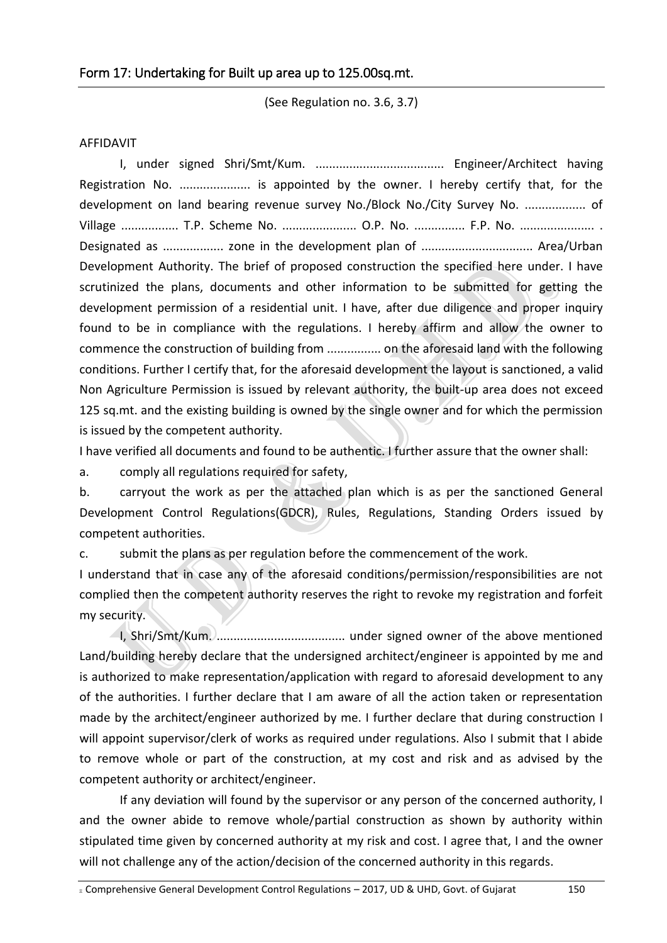(See Regulation no. 3.6, 3.7)

## AFFIDAVIT

I, under signed Shri/Smt/Kum. ...................................... Engineer/Architect having Registration No. ...................... is appointed by the owner. I hereby certify that, for the development on land bearing revenue survey No./Block No./City Survey No. .................. of Village ................. T.P. Scheme No. ...................... O.P. No. ............... F.P. No. ...................... . Designated as .................. zone in the development plan of ................................. Area/Urban Development Authority. The brief of proposed construction the specified here under. I have scrutinized the plans, documents and other information to be submitted for getting the development permission of a residential unit. I have, after due diligence and proper inquiry found to be in compliance with the regulations. I hereby affirm and allow the owner to commence the construction of building from ................ on the aforesaid land with the following conditions. Further I certify that, for the aforesaid development the layout is sanctioned, a valid Non Agriculture Permission is issued by relevant authority, the built-up area does not exceed 125 sq.mt. and the existing building is owned by the single owner and for which the permission is issued by the competent authority.

I have verified all documents and found to be authentic. I further assure that the owner shall:

a. comply all regulations required for safety,

b. carryout the work as per the attached plan which is as per the sanctioned General Development Control Regulations(GDCR), Rules, Regulations, Standing Orders issued by competent authorities.

c. submit the plans as per regulation before the commencement of the work.

I understand that in case any of the aforesaid conditions/permission/responsibilities are not complied then the competent authority reserves the right to revoke my registration and forfeit my security.

I, Shri/Smt/Kum. ...................................... under signed owner of the above mentioned Land/building hereby declare that the undersigned architect/engineer is appointed by me and is authorized to make representation/application with regard to aforesaid development to any of the authorities. I further declare that I am aware of all the action taken or representation made by the architect/engineer authorized by me. I further declare that during construction I will appoint supervisor/clerk of works as required under regulations. Also I submit that I abide to remove whole or part of the construction, at my cost and risk and as advised by the competent authority or architect/engineer.

If any deviation will found by the supervisor or any person of the concerned authority, I and the owner abide to remove whole/partial construction as shown by authority within stipulated time given by concerned authority at my risk and cost. I agree that, I and the owner will not challenge any of the action/decision of the concerned authority in this regards.